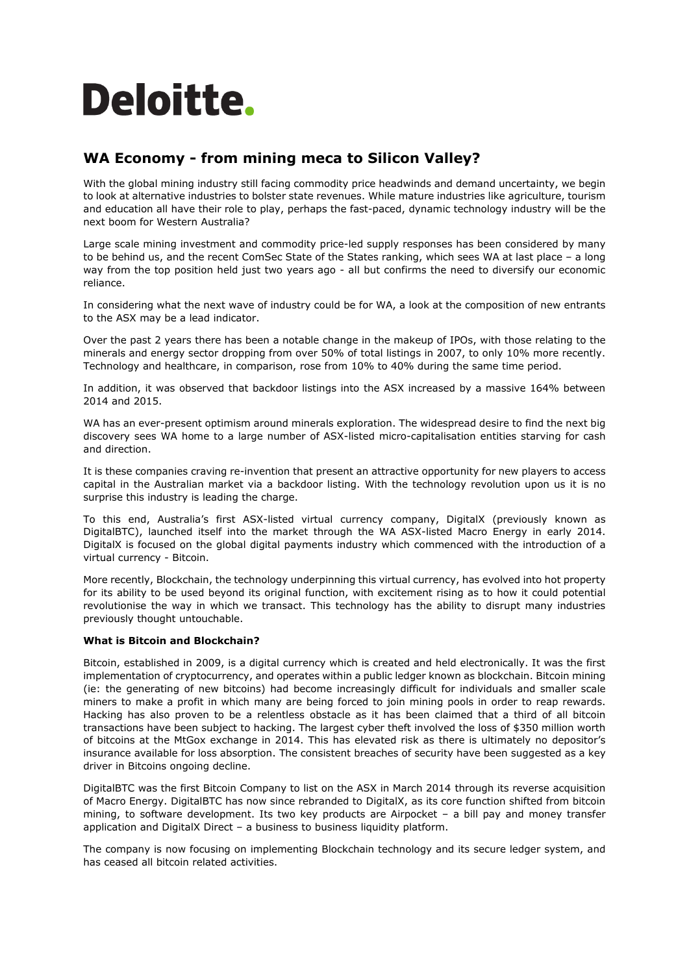# **Deloitte.**

### **WA Economy - from mining meca to Silicon Valley?**

With the global mining industry still facing commodity price headwinds and demand uncertainty, we begin to look at alternative industries to bolster state revenues. While mature industries like agriculture, tourism and education all have their role to play, perhaps the fast-paced, dynamic technology industry will be the next boom for Western Australia?

Large scale mining investment and commodity price-led supply responses has been considered by many to be behind us, and the recent ComSec State of the States ranking, which sees WA at last place – a long way from the top position held just two years ago - all but confirms the need to diversify our economic reliance.

In considering what the next wave of industry could be for WA, a look at the composition of new entrants to the ASX may be a lead indicator.

Over the past 2 years there has been a notable change in the makeup of IPOs, with those relating to the minerals and energy sector dropping from over 50% of total listings in 2007, to only 10% more recently. Technology and healthcare, in comparison, rose from 10% to 40% during the same time period.

In addition, it was observed that backdoor listings into the ASX increased by a massive 164% between 2014 and 2015.

WA has an ever-present optimism around minerals exploration. The widespread desire to find the next big discovery sees WA home to a large number of ASX-listed micro-capitalisation entities starving for cash and direction.

It is these companies craving re-invention that present an attractive opportunity for new players to access capital in the Australian market via a backdoor listing. With the technology revolution upon us it is no surprise this industry is leading the charge.

To this end, Australia's first ASX-listed virtual currency company, DigitalX (previously known as DigitalBTC), launched itself into the market through the WA ASX-listed Macro Energy in early 2014. DigitalX is focused on the global digital payments industry which commenced with the introduction of a virtual currency - Bitcoin.

More recently, Blockchain, the technology underpinning this virtual currency, has evolved into hot property for its ability to be used beyond its original function, with excitement rising as to how it could potential revolutionise the way in which we transact. This technology has the ability to disrupt many industries previously thought untouchable.

### **What is Bitcoin and Blockchain?**

Bitcoin, established in 2009, is a digital currency which is created and held electronically. It was the first implementation of cryptocurrency, and operates within a public ledger known as blockchain. Bitcoin mining (ie: the generating of new bitcoins) had become increasingly difficult for individuals and smaller scale miners to make a profit in which many are being forced to join mining pools in order to reap rewards. Hacking has also proven to be a relentless obstacle as it has been claimed that a third of all bitcoin transactions have been subject to hacking. The largest cyber theft involved the loss of \$350 million worth of bitcoins at the MtGox exchange in 2014. This has elevated risk as there is ultimately no depositor's insurance available for loss absorption. The consistent breaches of security have been suggested as a key driver in Bitcoins ongoing decline.

DigitalBTC was the first Bitcoin Company to list on the ASX in March 2014 through its reverse acquisition of Macro Energy. DigitalBTC has now since rebranded to DigitalX, as its core function shifted from bitcoin mining, to software development. Its two key products are Airpocket – a bill pay and money transfer application and DigitalX Direct – a business to business liquidity platform.

The company is now focusing on implementing Blockchain technology and its secure ledger system, and has ceased all bitcoin related activities.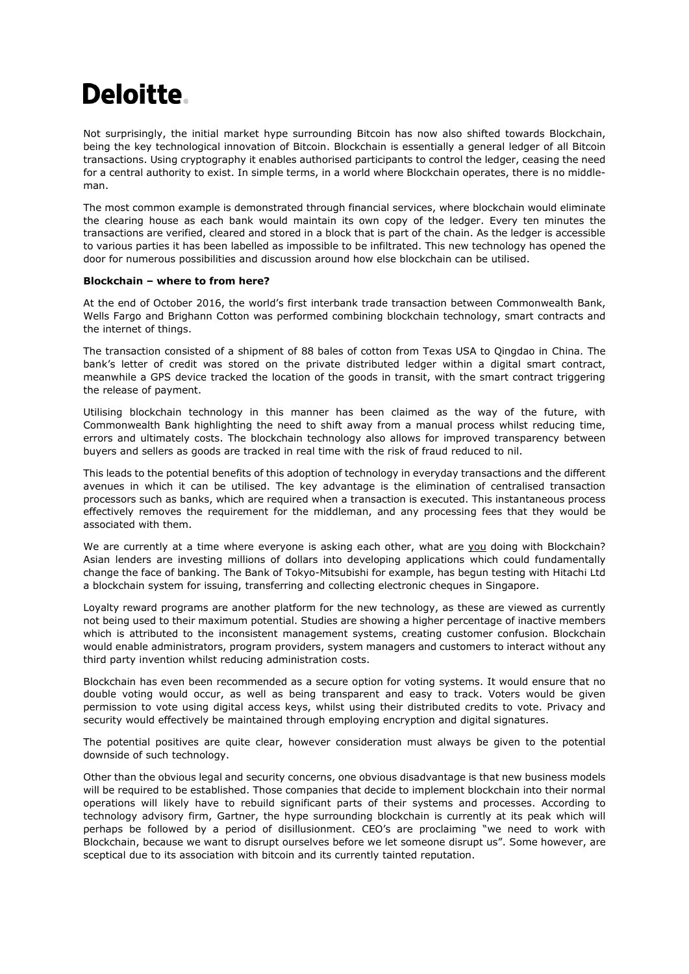## **Deloitte.**

Not surprisingly, the initial market hype surrounding Bitcoin has now also shifted towards Blockchain, being the key technological innovation of Bitcoin. Blockchain is essentially a general ledger of all Bitcoin transactions. Using cryptography it enables authorised participants to control the ledger, ceasing the need for a central authority to exist. In simple terms, in a world where Blockchain operates, there is no middleman.

The most common example is demonstrated through financial services, where blockchain would eliminate the clearing house as each bank would maintain its own copy of the ledger. Every ten minutes the transactions are verified, cleared and stored in a block that is part of the chain. As the ledger is accessible to various parties it has been labelled as impossible to be infiltrated. This new technology has opened the door for numerous possibilities and discussion around how else blockchain can be utilised.

### **Blockchain – where to from here?**

At the end of October 2016, the world's first interbank trade transaction between Commonwealth Bank, Wells Fargo and Brighann Cotton was performed combining blockchain technology, smart contracts and the internet of things.

The transaction consisted of a shipment of 88 bales of cotton from Texas USA to Qingdao in China. The bank's letter of credit was stored on the private distributed ledger within a digital smart contract, meanwhile a GPS device tracked the location of the goods in transit, with the smart contract triggering the release of payment.

Utilising blockchain technology in this manner has been claimed as the way of the future, with Commonwealth Bank highlighting the need to shift away from a manual process whilst reducing time, errors and ultimately costs. The blockchain technology also allows for improved transparency between buyers and sellers as goods are tracked in real time with the risk of fraud reduced to nil.

This leads to the potential benefits of this adoption of technology in everyday transactions and the different avenues in which it can be utilised. The key advantage is the elimination of centralised transaction processors such as banks, which are required when a transaction is executed. This instantaneous process effectively removes the requirement for the middleman, and any processing fees that they would be associated with them.

We are currently at a time where everyone is asking each other, what are you doing with Blockchain? Asian lenders are investing millions of dollars into developing applications which could fundamentally change the face of banking. The Bank of Tokyo-Mitsubishi for example, has begun testing with Hitachi Ltd a blockchain system for issuing, transferring and collecting electronic cheques in Singapore.

Loyalty reward programs are another platform for the new technology, as these are viewed as currently not being used to their maximum potential. Studies are showing a higher percentage of inactive members which is attributed to the inconsistent management systems, creating customer confusion. Blockchain would enable administrators, program providers, system managers and customers to interact without any third party invention whilst reducing administration costs.

Blockchain has even been recommended as a secure option for voting systems. It would ensure that no double voting would occur, as well as being transparent and easy to track. Voters would be given permission to vote using digital access keys, whilst using their distributed credits to vote. Privacy and security would effectively be maintained through employing encryption and digital signatures.

The potential positives are quite clear, however consideration must always be given to the potential downside of such technology.

Other than the obvious legal and security concerns, one obvious disadvantage is that new business models will be required to be established. Those companies that decide to implement blockchain into their normal operations will likely have to rebuild significant parts of their systems and processes. According to technology advisory firm, Gartner, the hype surrounding blockchain is currently at its peak which will perhaps be followed by a period of disillusionment. CEO's are proclaiming "we need to work with Blockchain, because we want to disrupt ourselves before we let someone disrupt us". Some however, are sceptical due to its association with bitcoin and its currently tainted reputation.